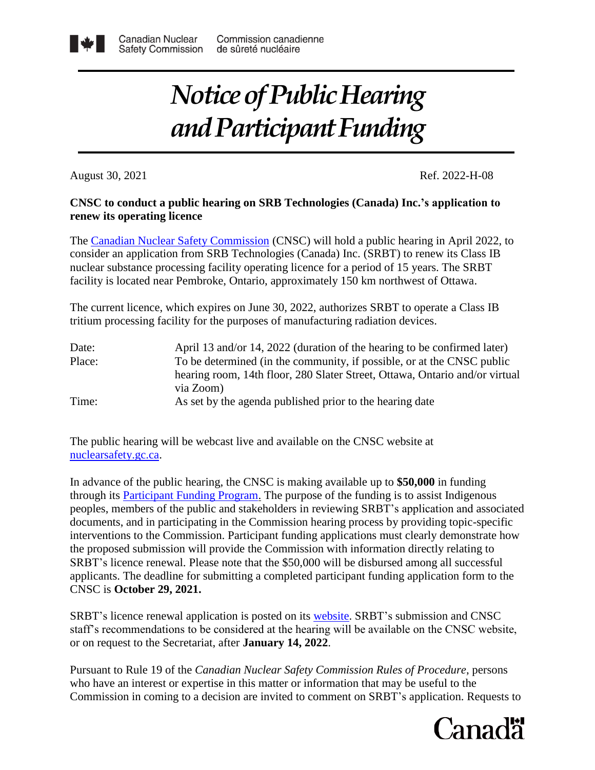## *Notice of Public Hearing and Participant Funding*

August 30, 2021 Ref. 2022-H-08

## **CNSC to conduct a public hearing on SRB Technologies (Canada) Inc.'s application to renew its operating licence**

The [Canadian Nuclear Safety Commission](http://www.nuclearsafety.gc.ca/eng/) (CNSC) will hold a public hearing in April 2022, to consider an application from SRB Technologies (Canada) Inc. (SRBT) to renew its Class IB nuclear substance processing facility operating licence for a period of 15 years. The SRBT facility is located near Pembroke, Ontario, approximately 150 km northwest of Ottawa.

The current licence, which expires on June 30, 2022, authorizes SRBT to operate a Class IB tritium processing facility for the purposes of manufacturing radiation devices.

| Date:  | April 13 and/or 14, 2022 (duration of the hearing to be confirmed later)    |
|--------|-----------------------------------------------------------------------------|
| Place: | To be determined (in the community, if possible, or at the CNSC public      |
|        | hearing room, 14th floor, 280 Slater Street, Ottawa, Ontario and/or virtual |
|        | via Zoom)                                                                   |
| Time:  | As set by the agenda published prior to the hearing date                    |

The public hearing will be webcast live and available on the CNSC website at [nuclearsafety.gc.ca.](http://www.nuclearsafety.gc.ca/eng/)

In advance of the public hearing, the CNSC is making available up to **\$50,000** in funding through its [Participant Funding Program.](http://www.nuclearsafety.gc.ca/eng/the-commission/participant-funding-program/opportunities/index.cfm) The purpose of the funding is to assist Indigenous peoples, members of the public and stakeholders in reviewing SRBT's application and associated documents, and in participating in the Commission hearing process by providing topic-specific interventions to the Commission. Participant funding applications must clearly demonstrate how the proposed submission will provide the Commission with information directly relating to SRBT's licence renewal. Please note that the \$50,000 will be disbursed among all successful applicants. The deadline for submitting a completed participant funding application form to the CNSC is **October 29, 2021.**

SRBT's licence renewal application is posted on its [website.](http://srbt.com/SRBT%20Licence%20Renewal%20Application%20-%20June%2030,%202021.pdf) SRBT's submission and CNSC staff's recommendations to be considered at the hearing will be available on the CNSC website, or on request to the Secretariat, after **January 14, 2022**.

Pursuant to Rule 19 of the *Canadian Nuclear Safety Commission Rules of Procedure*, persons who have an interest or expertise in this matter or information that may be useful to the Commission in coming to a decision are invited to comment on SRBT's application. Requests to